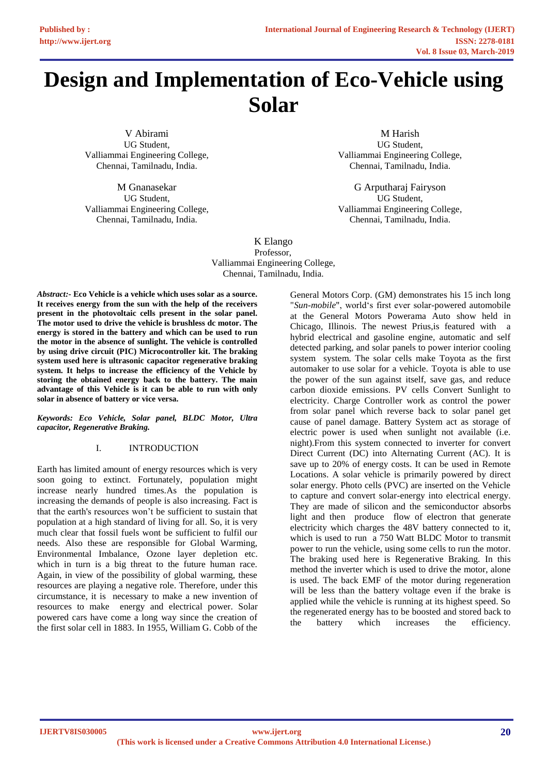# **Design and Implementation of Eco-Vehicle using Solar**

V Abirami UG Student, Valliammai Engineering College, Chennai, Tamilnadu, India.

M Gnanasekar UG Student, Valliammai Engineering College, Chennai, Tamilnadu, India.

M Harish UG Student, Valliammai Engineering College, Chennai, Tamilnadu, India.

G Arputharaj Fairyson UG Student, Valliammai Engineering College, Chennai, Tamilnadu, India.

K Elango Valliammai Engineering College, Chennai, Tamilnadu, India. Professor,

*Abstract:-* **Eco Vehicle is a vehicle which uses solar as a source. It receives energy from the sun with the help of the receivers present in the photovoltaic cells present in the solar panel. The motor used to drive the vehicle is brushless dc motor. The energy is stored in the battery and which can be used to run the motor in the absence of sunlight. The vehicle is controlled by using drive circuit (PIC) Microcontroller kit. The braking system used here is ultrasonic capacitor regenerative braking system. It helps to increase the efficiency of the Vehicle by storing the obtained energy back to the battery. The main advantage of this Vehicle is it can be able to run with only solar in absence of battery or vice versa.**

*Keywords: Eco Vehicle, Solar panel, BLDC Motor, Ultra capacitor, Regenerative Braking.*

# I. INTRODUCTION

Earth has limited amount of energy resources which is very soon going to extinct. Fortunately, population might increase nearly hundred times.As the population is increasing the demands of people is also increasing. Fact is that the earth's resources won't be sufficient to sustain that population at a high standard of living for all. So, it is very much clear that fossil fuels wont be sufficient to fulfil our needs. Also these are responsible for Global Warming, Environmental Imbalance, Ozone layer depletion etc. which in turn is a big threat to the future human race. Again, in view of the possibility of global warming, these resources are playing a negative role. Therefore, under this circumstance, it is necessary to make a new invention of resources to make energy and electrical power. Solar powered cars have come a long way since the creation of the first solar cell in 1883. In 1955, William G. Cobb of the

General Motors Corp. (GM) demonstrates his 15 inch long "*Sun-mobile*", world's first ever solar-powered automobile at the General Motors Powerama Auto show held in Chicago, Illinois. The newest Prius,is featured with a hybrid electrical and gasoline engine, automatic and self detected parking, and solar panels to power interior cooling system system. The solar cells make Toyota as the first automaker to use solar for a vehicle. Toyota is able to use the power of the sun against itself, save gas, and reduce carbon dioxide emissions. PV cells Convert Sunlight to electricity. Charge Controller work as control the power from solar panel which reverse back to solar panel get cause of panel damage. Battery System act as storage of electric power is used when sunlight not available (i.e. night).From this system connected to inverter for convert Direct Current (DC) into Alternating Current (AC). It is save up to 20% of energy costs. It can be used in Remote Locations. A solar vehicle is primarily powered by direct solar energy. Photo cells (PVC) are inserted on the Vehicle to capture and convert solar-energy into electrical energy. They are made of silicon and the semiconductor absorbs light and then produce flow of electron that generate electricity which charges the 48V battery connected to it, which is used to run a 750 Watt BLDC Motor to transmit power to run the vehicle, using some cells to run the motor. The braking used here is Regenerative Braking. In this method the inverter which is used to drive the motor, alone is used. The back EMF of the motor during regeneration will be less than the battery voltage even if the brake is applied while the vehicle is running at its highest speed. So the regenerated energy has to be boosted and stored back to the battery which increases the efficiency.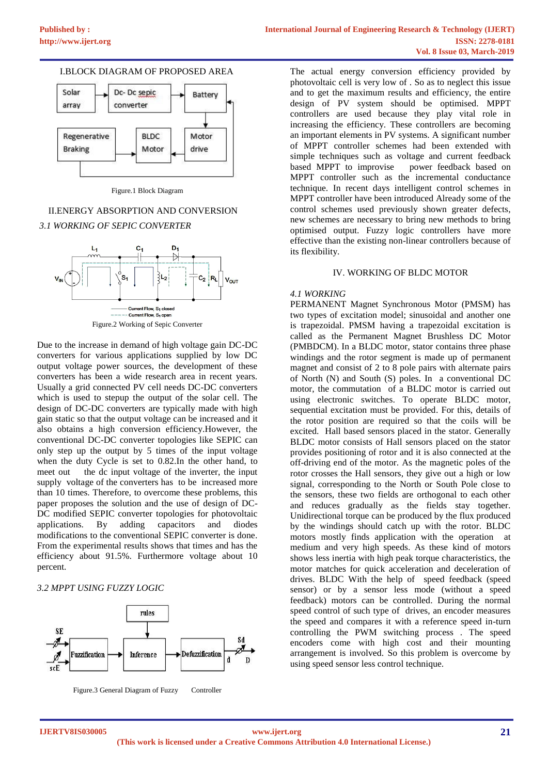



Figure.1 Block Diagram

# II.ENERGY ABSORPTION AND CONVERSION *3.1 WORKING OF SEPIC CONVERTER*



Due to the increase in demand of high voltage gain DC-DC converters for various applications supplied by low DC output voltage power sources, the development of these converters has been a wide research area in recent years. Usually a grid connected PV cell needs DC-DC converters which is used to stepup the output of the solar cell. The design of DC-DC converters are typically made with high gain static so that the output voltage can be increased and it also obtains a high conversion efficiency.However, the conventional DC-DC converter topologies like SEPIC can only step up the output by 5 times of the input voltage when the duty Cycle is set to 0.82.In the other hand, to meet out the dc input voltage of the inverter, the input supply voltage of the converters has to be increased more than 10 times. Therefore, to overcome these problems, this paper proposes the solution and the use of design of DC-DC modified SEPIC converter topologies for photovoltaic applications. By adding capacitors and diodes modifications to the conventional SEPIC converter is done. From the experimental results shows that times and has the efficiency about 91.5%. Furthermore voltage about 10 percent.

# *3.2 MPPT USING FUZZY LOGIC*



Figure.3 General Diagram of Fuzzy Controller

The actual energy conversion efficiency provided by photovoltaic cell is very low of . So as to neglect this issue and to get the maximum results and efficiency, the entire design of PV system should be optimised. MPPT controllers are used because they play vital role in increasing the efficiency. These controllers are becoming an important elements in PV systems. A significant number of MPPT controller schemes had been extended with simple techniques such as voltage and current feedback based MPPT to improvise power feedback based on MPPT controller such as the incremental conductance technique. In recent days intelligent control schemes in MPPT controller have been introduced Already some of the control schemes used previously shown greater defects, new schemes are necessary to bring new methods to bring optimised output. Fuzzy logic controllers have more effective than the existing non-linear controllers because of its flexibility.

# IV. WORKING OF BLDC MOTOR

# *4.1 WORKING*

PERMANENT Magnet Synchronous Motor (PMSM) has two types of excitation model; sinusoidal and another one is trapezoidal. PMSM having a trapezoidal excitation is called as the Permanent Magnet Brushless DC Motor (PMBDCM). In a BLDC motor, stator contains three phase windings and the rotor segment is made up of permanent magnet and consist of 2 to 8 pole pairs with alternate pairs of North (N) and South (S) poles. In a conventional DC motor, the commutation of a BLDC motor is carried out using electronic switches. To operate BLDC motor, sequential excitation must be provided. For this, details of the rotor position are required so that the coils will be excited. Hall based sensors placed in the stator. Generally BLDC motor consists of Hall sensors placed on the stator provides positioning of rotor and it is also connected at the off-driving end of the motor. As the magnetic poles of the rotor crosses the Hall sensors, they give out a high or low signal, corresponding to the North or South Pole close to the sensors, these two fields are orthogonal to each other and reduces gradually as the fields stay together. Unidirectional torque can be produced by the flux produced by the windings should catch up with the rotor. BLDC motors mostly finds application with the operation at medium and very high speeds. As these kind of motors shows less inertia with high peak torque characteristics, the motor matches for quick acceleration and deceleration of drives. BLDC With the help of speed feedback (speed sensor) or by a sensor less mode (without a speed feedback) motors can be controlled. During the normal speed control of such type of drives, an encoder measures the speed and compares it with a reference speed in-turn controlling the PWM switching process . The speed encoders come with high cost and their mounting arrangement is involved. So this problem is overcome by using speed sensor less control technique.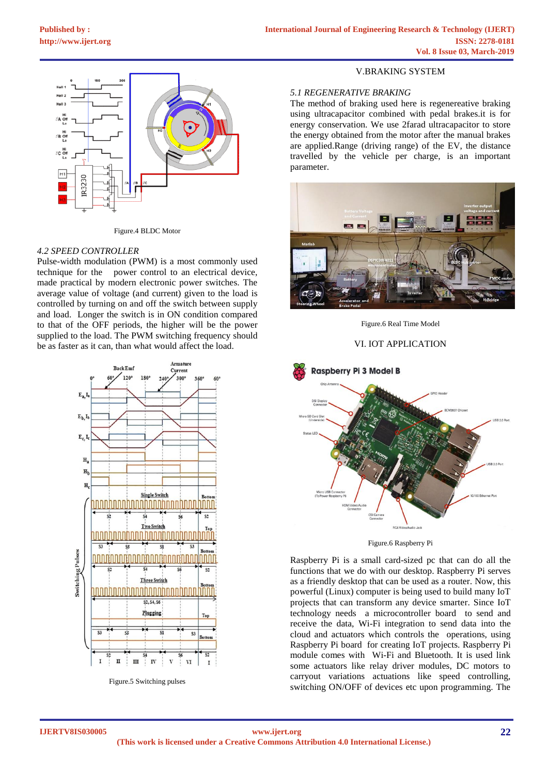

Figure.4 BLDC Motor

# *4.2 SPEED CONTROLLER*

Pulse-width modulation (PWM) is a most commonly used technique for the power control to an electrical device, made practical by modern electronic power switches. The average value of voltage (and current) given to the load is controlled by turning on and off the switch between supply and load. Longer the switch is in ON condition compared to that of the OFF periods, the higher will be the power supplied to the load. The PWM switching frequency should be as faster as it can, than what would affect the load.



Figure.5 Switching pulses

#### V.BRAKING SYSTEM

## *5.1 REGENERATIVE BRAKING*

The method of braking used here is regenereative braking using ultracapacitor combined with pedal brakes.it is for energy conservation. We use 2farad ultracapacitor to store the energy obtained from the motor after the manual brakes are applied.Range (driving range) of the EV, the distance travelled by the vehicle per charge, is an important parameter.



Figure.6 Real Time Model

## VI. IOT APPLICATION



Figure.6 Raspberry Pi

Raspberry Pi is a small card-sized pc that can do all the functions that we do with our desktop. Raspberry Pi serves as a friendly desktop that can be used as a router. Now, this powerful (Linux) computer is being used to build many IoT projects that can transform any device smarter. Since IoT technology needs a microcontroller board to send and receive the data, Wi-Fi integration to send data into the cloud and actuators which controls the operations, using Raspberry Pi board for creating IoT projects. Raspberry Pi module comes with Wi-Fi and Bluetooth. It is used link some actuators like relay driver modules, DC motors to carryout variations actuations like speed controlling, switching ON/OFF of devices etc upon programming. The